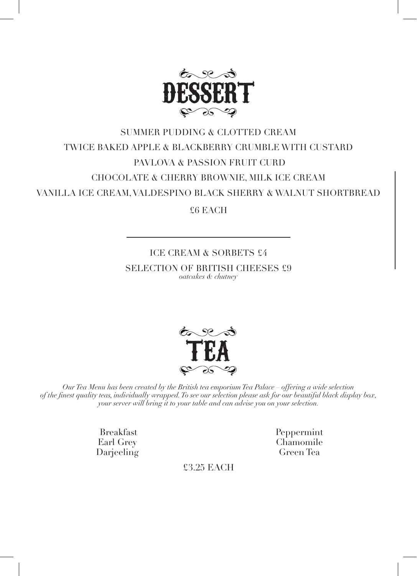

## SUMMER PUDDING & CLOTTED CREAM TWICE BAKED APPLE & BLACKBERRY CRUMBLE WITH CUSTARD PAVLOVA & PASSION FRUIT CURD CHOCOLATE & CHERRY BROWNIE, MILK ICE CREAM VANILLA ICE CREAM, VALDESPINO BLACK SHERRY & WALNUT SHORTBREAD

£6 EACH

## ICE CREAM & SORBETS £4 SELECTION OF BRITISH CHEESES £9 *oatcakes & chutney*



*Our Tea Menu has been created by the British tea emporium Tea Palace – offering a wide selection of the finest quality teas, individually wrapped. To see our selection please ask for our beautiful black display box, your server will bring it to your table and can advise you on your selection.* 

> Breakfast Earl Grey Darjeeling

Peppermint Chamomile Green Tea

£3.25 EACH